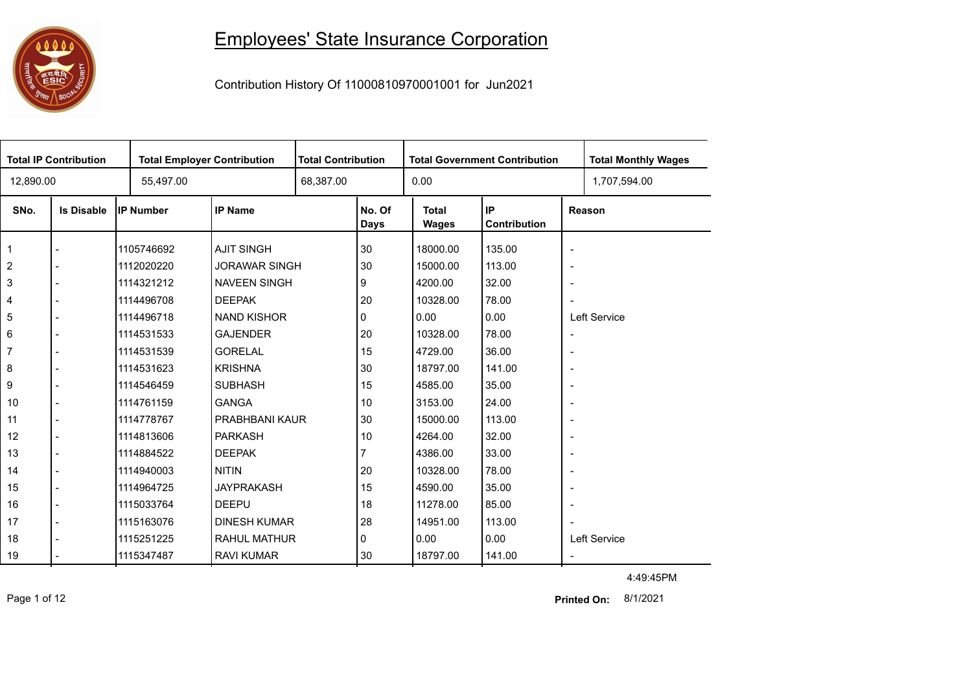## **10000**<br>第四章

## Employees' State Insurance Corporation

Contribution History Of 11000810970001001 for Jun2021

|                | <b>Total IP Contribution</b> | <b>Total Employer Contribution</b> |                      | <b>Total Contribution</b> |                       | <b>Total Government Contribution</b> |                    |                          | <b>Total Monthly Wages</b> |  |
|----------------|------------------------------|------------------------------------|----------------------|---------------------------|-----------------------|--------------------------------------|--------------------|--------------------------|----------------------------|--|
| 12,890.00      |                              | 55,497.00                          |                      | 68,387.00                 |                       | 0.00                                 |                    |                          | 1,707,594.00               |  |
| SNo.           | <b>Is Disable</b>            | <b>IP Number</b>                   | <b>IP Name</b>       |                           | No. Of<br><b>Days</b> | <b>Total</b><br><b>Wages</b>         | IP<br>Contribution |                          | Reason                     |  |
| $\mathbf{1}$   |                              | 1105746692                         | <b>AJIT SINGH</b>    |                           | 30                    | 18000.00                             | 135.00             | $\overline{\phantom{a}}$ |                            |  |
| $\overline{2}$ |                              | 1112020220                         | <b>JORAWAR SINGH</b> |                           | 30                    | 15000.00                             | 113.00             | $\overline{\phantom{a}}$ |                            |  |
| $\mathbf{3}$   |                              | 1114321212                         | <b>NAVEEN SINGH</b>  |                           | 9                     | 4200.00                              | 32.00              | $\overline{\phantom{a}}$ |                            |  |
| $\overline{4}$ |                              | 1114496708                         | <b>DEEPAK</b>        |                           | 20                    | 10328.00                             | 78.00              | $\overline{\phantom{a}}$ |                            |  |
| 5              |                              | 1114496718                         | <b>NAND KISHOR</b>   |                           | 0                     | 0.00                                 | 0.00               |                          | Left Service               |  |
| 6              |                              | 1114531533                         | <b>GAJENDER</b>      |                           | 20                    | 10328.00                             | 78.00              | $\overline{\phantom{a}}$ |                            |  |
| $\overline{7}$ |                              | 1114531539                         | <b>GORELAL</b>       |                           | 15                    | 4729.00                              | 36.00              | $\overline{\phantom{a}}$ |                            |  |
| 8              |                              | 1114531623                         | <b>KRISHNA</b>       |                           | 30                    | 18797.00                             | 141.00             | $\overline{\phantom{a}}$ |                            |  |
| 9              |                              | 1114546459                         | <b>SUBHASH</b>       |                           | 15                    | 4585.00                              | 35.00              | $\overline{\phantom{a}}$ |                            |  |
| 10             |                              | 1114761159                         | <b>GANGA</b>         |                           | 10                    | 3153.00                              | 24.00              | $\overline{\phantom{a}}$ |                            |  |
| 11             |                              | 1114778767                         | PRABHBANI KAUR       |                           | 30                    | 15000.00                             | 113.00             | $\overline{\phantom{a}}$ |                            |  |
| 12             |                              | 1114813606                         | <b>PARKASH</b>       |                           | 10                    | 4264.00                              | 32.00              | $\overline{\phantom{a}}$ |                            |  |
| 13             |                              | 1114884522                         | <b>DEEPAK</b>        |                           |                       | 4386.00                              | 33.00              | $\overline{\phantom{a}}$ |                            |  |
| 14             |                              | 1114940003                         | <b>NITIN</b>         |                           | 20                    | 10328.00                             | 78.00              | $\overline{\phantom{a}}$ |                            |  |
| 15             |                              | 1114964725                         | <b>JAYPRAKASH</b>    |                           | 15                    | 4590.00                              | 35.00              | $\overline{\phantom{a}}$ |                            |  |
| 16             |                              | 1115033764                         | <b>DEEPU</b>         |                           | 18                    | 11278.00                             | 85.00              | $\overline{\phantom{a}}$ |                            |  |
| 17             |                              | 1115163076                         | <b>DINESH KUMAR</b>  |                           | 28                    | 14951.00                             | 113.00             |                          |                            |  |
| 18             |                              | 1115251225                         | <b>RAHUL MATHUR</b>  |                           | 0                     | 0.00                                 | 0.00               |                          | Left Service               |  |
| 19             |                              | 1115347487                         | <b>RAVI KUMAR</b>    |                           | 30                    | 18797.00                             | 141.00             | $\overline{\phantom{a}}$ |                            |  |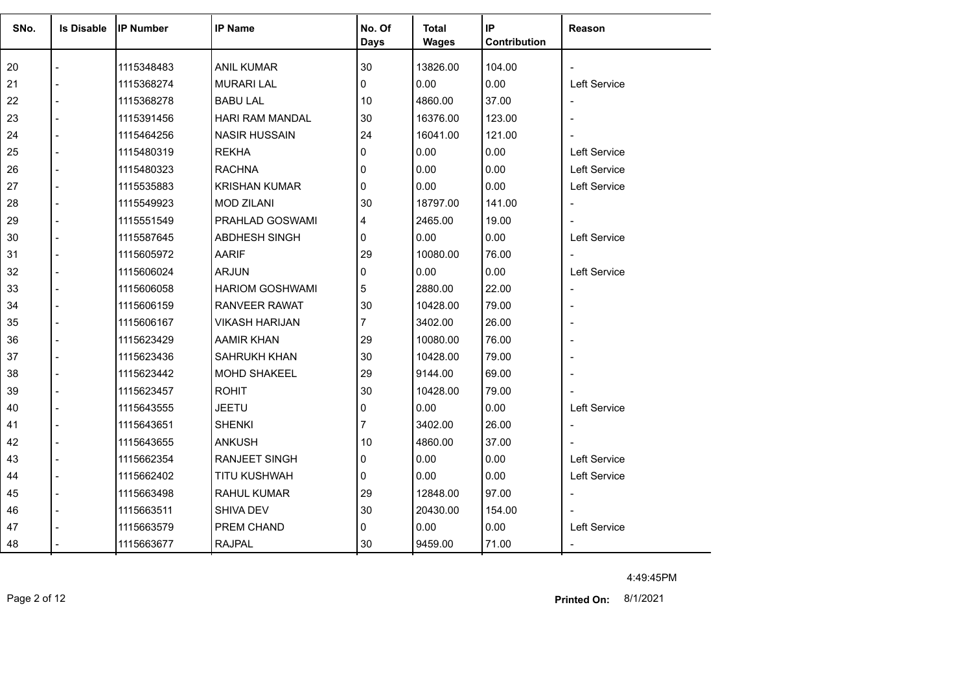| SNo. | <b>Is Disable</b> | <b>IP Number</b> | <b>IP Name</b>         | No. Of      | <b>Total</b> | IP           | <b>Reason</b>            |
|------|-------------------|------------------|------------------------|-------------|--------------|--------------|--------------------------|
|      |                   |                  |                        | <b>Days</b> | <b>Wages</b> | Contribution |                          |
| 20   |                   | 1115348483       | <b>ANIL KUMAR</b>      | 30          | 13826.00     | 104.00       |                          |
| 21   |                   | 1115368274       | <b>MURARI LAL</b>      | 0           | 0.00         | 0.00         | Left Service             |
| 22   |                   | 1115368278       | <b>BABU LAL</b>        | 10          | 4860.00      | 37.00        |                          |
| 23   |                   | 1115391456       | HARI RAM MANDAL        | 30          | 16376.00     | 123.00       |                          |
| 24   |                   | 1115464256       | <b>NASIR HUSSAIN</b>   | 24          | 16041.00     | 121.00       |                          |
| 25   |                   | 1115480319       | <b>REKHA</b>           | 0           | 0.00         | 0.00         | Left Service             |
| 26   |                   | 1115480323       | <b>RACHNA</b>          | 0           | 0.00         | 0.00         | Left Service             |
| 27   |                   | 1115535883       | <b>KRISHAN KUMAR</b>   | 0           | 0.00         | 0.00         | Left Service             |
| 28   |                   | 1115549923       | <b>MOD ZILANI</b>      | 30          | 18797.00     | 141.00       |                          |
| 29   |                   | 1115551549       | PRAHLAD GOSWAMI        | 4           | 2465.00      | 19.00        |                          |
| 30   |                   | 1115587645       | <b>ABDHESH SINGH</b>   | 0           | 0.00         | 0.00         | Left Service             |
| 31   |                   | 1115605972       | AARIF                  | 29          | 10080.00     | 76.00        |                          |
| 32   |                   | 1115606024       | ARJUN                  | 0           | 0.00         | 0.00         | Left Service             |
| 33   |                   | 1115606058       | <b>HARIOM GOSHWAMI</b> | 5           | 2880.00      | 22.00        | $\overline{\phantom{a}}$ |
| 34   |                   | 1115606159       | <b>RANVEER RAWAT</b>   | 30          | 10428.00     | 79.00        |                          |
| 35   |                   | 1115606167       | <b>VIKASH HARIJAN</b>  | 7           | 3402.00      | 26.00        |                          |
| 36   |                   | 1115623429       | AAMIR KHAN             | 29          | 10080.00     | 76.00        |                          |
| 37   |                   | 1115623436       | SAHRUKH KHAN           | 30          | 10428.00     | 79.00        |                          |
| 38   |                   | 1115623442       | <b>MOHD SHAKEEL</b>    | 29          | 9144.00      | 69.00        |                          |
| 39   |                   | 1115623457       | <b>ROHIT</b>           | 30          | 10428.00     | 79.00        |                          |
| 40   |                   | 1115643555       | <b>JEETU</b>           | 0           | 0.00         | 0.00         | Left Service             |
| 41   |                   | 1115643651       | <b>SHENKI</b>          |             | 3402.00      | 26.00        |                          |
| 42   |                   | 1115643655       | <b>ANKUSH</b>          | 10          | 4860.00      | 37.00        |                          |
| 43   |                   | 1115662354       | <b>RANJEET SINGH</b>   | 0           | 0.00         | 0.00         | Left Service             |
| 44   |                   | 1115662402       | TITU KUSHWAH           | 0           | 0.00         | 0.00         | Left Service             |
| 45   |                   | 1115663498       | <b>RAHUL KUMAR</b>     | 29          | 12848.00     | 97.00        | $\overline{\phantom{a}}$ |
| 46   |                   | 1115663511       | SHIVA DEV              | 30          | 20430.00     | 154.00       |                          |
| 47   |                   | 1115663579       | PREM CHAND             | 0           | 0.00         | 0.00         | Left Service             |
| 48   |                   | 1115663677       | <b>RAJPAL</b>          | 30          | 9459.00      | 71.00        |                          |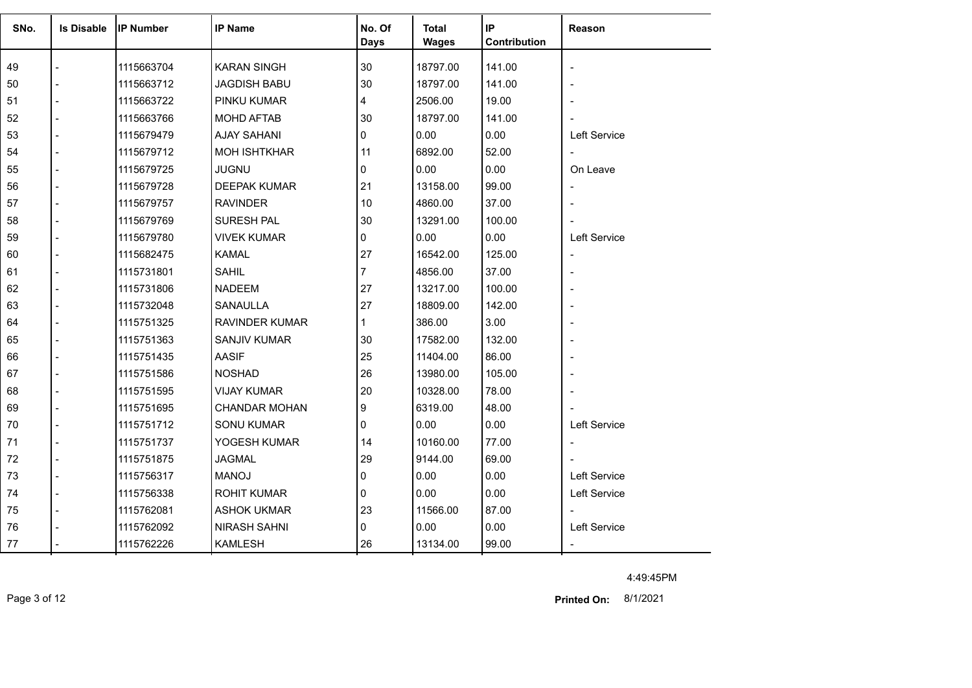| SNo. | <b>Is Disable</b> | <b>IP Number</b> | <b>IP Name</b>        | No. Of       | <b>Total</b> | <b>IP</b>    | Reason                   |
|------|-------------------|------------------|-----------------------|--------------|--------------|--------------|--------------------------|
|      |                   |                  |                       | <b>Days</b>  | <b>Wages</b> | Contribution |                          |
| 49   |                   | 1115663704       | <b>KARAN SINGH</b>    | 30           | 18797.00     | 141.00       | $\overline{\phantom{a}}$ |
| 50   |                   | 1115663712       | <b>JAGDISH BABU</b>   | 30           | 18797.00     | 141.00       |                          |
| 51   |                   | 1115663722       | PINKU KUMAR           | 4            | 2506.00      | 19.00        |                          |
| 52   |                   | 1115663766       | <b>MOHD AFTAB</b>     | 30           | 18797.00     | 141.00       |                          |
| 53   |                   | 1115679479       | <b>AJAY SAHANI</b>    | 0            | 0.00         | 0.00         | Left Service             |
| 54   |                   | 1115679712       | <b>MOH ISHTKHAR</b>   | 11           | 6892.00      | 52.00        | $\mathbf{r}$             |
| 55   |                   | 1115679725       | <b>JUGNU</b>          | 0            | 0.00         | 0.00         | On Leave                 |
| 56   |                   | 1115679728       | <b>DEEPAK KUMAR</b>   | 21           | 13158.00     | 99.00        | $\overline{\phantom{a}}$ |
| 57   |                   | 1115679757       | <b>RAVINDER</b>       | 10           | 4860.00      | 37.00        |                          |
| 58   |                   | 1115679769       | <b>SURESH PAL</b>     | 30           | 13291.00     | 100.00       |                          |
| 59   |                   | 1115679780       | <b>VIVEK KUMAR</b>    | 0            | 0.00         | 0.00         | Left Service             |
| 60   |                   | 1115682475       | <b>KAMAL</b>          | 27           | 16542.00     | 125.00       | $\overline{\phantom{a}}$ |
| 61   |                   | 1115731801       | <b>SAHIL</b>          | 7            | 4856.00      | 37.00        | $\overline{\phantom{0}}$ |
| 62   |                   | 1115731806       | <b>NADEEM</b>         | 27           | 13217.00     | 100.00       |                          |
| 63   |                   | 1115732048       | SANAULLA              | 27           | 18809.00     | 142.00       |                          |
| 64   |                   | 1115751325       | <b>RAVINDER KUMAR</b> | $\mathbf{1}$ | 386.00       | 3.00         |                          |
| 65   |                   | 1115751363       | <b>SANJIV KUMAR</b>   | 30           | 17582.00     | 132.00       |                          |
| 66   |                   | 1115751435       | <b>AASIF</b>          | 25           | 11404.00     | 86.00        |                          |
| 67   |                   | 1115751586       | <b>NOSHAD</b>         | 26           | 13980.00     | 105.00       |                          |
| 68   |                   | 1115751595       | <b>VIJAY KUMAR</b>    | 20           | 10328.00     | 78.00        |                          |
| 69   |                   | 1115751695       | <b>CHANDAR MOHAN</b>  | 9            | 6319.00      | 48.00        |                          |
| 70   |                   | 1115751712       | <b>SONU KUMAR</b>     | 0            | 0.00         | 0.00         | Left Service             |
| 71   |                   | 1115751737       | YOGESH KUMAR          | 14           | 10160.00     | 77.00        | $\overline{\phantom{a}}$ |
| 72   |                   | 1115751875       | <b>JAGMAL</b>         | 29           | 9144.00      | 69.00        |                          |
| 73   |                   | 1115756317       | <b>MANOJ</b>          | 0            | 0.00         | 0.00         | Left Service             |
| 74   |                   | 1115756338       | <b>ROHIT KUMAR</b>    | 0            | 0.00         | 0.00         | Left Service             |
| 75   |                   | 1115762081       | <b>ASHOK UKMAR</b>    | 23           | 11566.00     | 87.00        | $\blacksquare$           |
| 76   |                   | 1115762092       | <b>NIRASH SAHNI</b>   | 0            | 0.00         | 0.00         | Left Service             |
| 77   |                   | 1115762226       | <b>KAMLESH</b>        | 26           | 13134.00     | 99.00        |                          |
|      |                   |                  |                       |              |              |              |                          |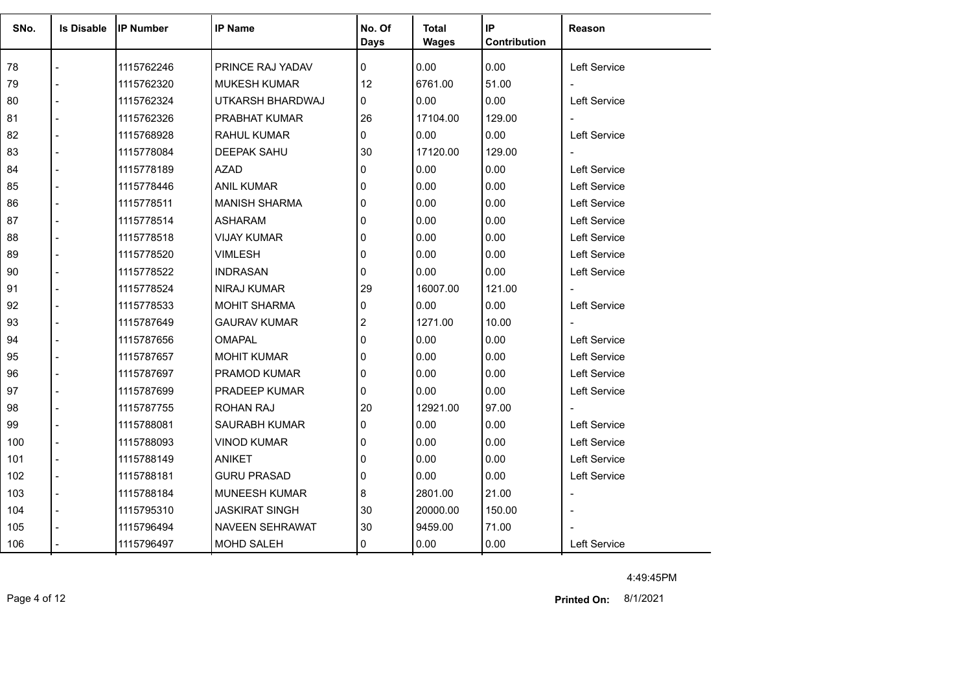| SNo. | <b>Is Disable</b> | <b>IP Number</b> | <b>IP Name</b>         | No. Of<br><b>Days</b> | <b>Total</b><br><b>Wages</b> | IP<br>Contribution | Reason              |
|------|-------------------|------------------|------------------------|-----------------------|------------------------------|--------------------|---------------------|
| 78   |                   | 1115762246       | PRINCE RAJ YADAV       | $\Omega$              | 0.00                         | 0.00               | Left Service        |
| 79   |                   | 1115762320       | <b>MUKESH KUMAR</b>    | 12                    | 6761.00                      | 51.00              |                     |
| 80   |                   | 1115762324       | UTKARSH BHARDWAJ       | 0                     | 0.00                         | 0.00               | Left Service        |
| 81   |                   | 1115762326       | <b>PRABHAT KUMAR</b>   | 26                    | 17104.00                     | 129.00             |                     |
| 82   |                   | 1115768928       | <b>RAHUL KUMAR</b>     | 0                     | 0.00                         | 0.00               | Left Service        |
| 83   |                   | 1115778084       | <b>DEEPAK SAHU</b>     | 30                    | 17120.00                     | 129.00             |                     |
| 84   |                   | 1115778189       | <b>AZAD</b>            | 0                     | 0.00                         | 0.00               | <b>Left Service</b> |
| 85   |                   | 1115778446       | <b>ANIL KUMAR</b>      | 0                     | 0.00                         | 0.00               | <b>Left Service</b> |
| 86   |                   | 1115778511       | <b>MANISH SHARMA</b>   | $\mathbf{0}$          | 0.00                         | 0.00               | Left Service        |
| 87   |                   | 1115778514       | <b>ASHARAM</b>         | 0                     | 0.00                         | 0.00               | Left Service        |
| 88   |                   | 1115778518       | <b>VIJAY KUMAR</b>     | $\mathbf{0}$          | 0.00                         | 0.00               | <b>Left Service</b> |
| 89   |                   | 1115778520       | <b>VIMLESH</b>         | $\Omega$              | 0.00                         | 0.00               | Left Service        |
| 90   |                   | 1115778522       | <b>INDRASAN</b>        | 0                     | 0.00                         | 0.00               | Left Service        |
| 91   |                   | 1115778524       | <b>NIRAJ KUMAR</b>     | 29                    | 16007.00                     | 121.00             |                     |
| 92   |                   | 1115778533       | <b>MOHIT SHARMA</b>    | 0                     | 0.00                         | 0.00               | Left Service        |
| 93   |                   | 1115787649       | <b>GAURAV KUMAR</b>    | 2                     | 1271.00                      | 10.00              |                     |
| 94   |                   | 1115787656       | <b>OMAPAL</b>          | 0                     | 0.00                         | 0.00               | Left Service        |
| 95   |                   | 1115787657       | <b>MOHIT KUMAR</b>     | 0                     | 0.00                         | 0.00               | Left Service        |
| 96   |                   | 1115787697       | PRAMOD KUMAR           | 0                     | 0.00                         | 0.00               | Left Service        |
| 97   |                   | 1115787699       | PRADEEP KUMAR          | 0                     | 0.00                         | 0.00               | Left Service        |
| 98   |                   | 1115787755       | ROHAN RAJ              | 20                    | 12921.00                     | 97.00              |                     |
| 99   |                   | 1115788081       | <b>SAURABH KUMAR</b>   | $\Omega$              | 0.00                         | 0.00               | <b>Left Service</b> |
| 100  |                   | 1115788093       | <b>VINOD KUMAR</b>     | 0                     | 0.00                         | 0.00               | <b>Left Service</b> |
| 101  |                   | 1115788149       | ANIKET                 | 0                     | 0.00                         | 0.00               | Left Service        |
| 102  |                   | 1115788181       | <b>GURU PRASAD</b>     | 0                     | 0.00                         | 0.00               | Left Service        |
| 103  |                   | 1115788184       | MUNEESH KUMAR          | 8                     | 2801.00                      | 21.00              | $\blacksquare$      |
| 104  |                   | 1115795310       | <b>JASKIRAT SINGH</b>  | 30                    | 20000.00                     | 150.00             |                     |
| 105  |                   | 1115796494       | <b>NAVEEN SEHRAWAT</b> | 30                    | 9459.00                      | 71.00              |                     |
| 106  |                   | 1115796497       | <b>MOHD SALEH</b>      | 0                     | 0.00                         | 0.00               | Left Service        |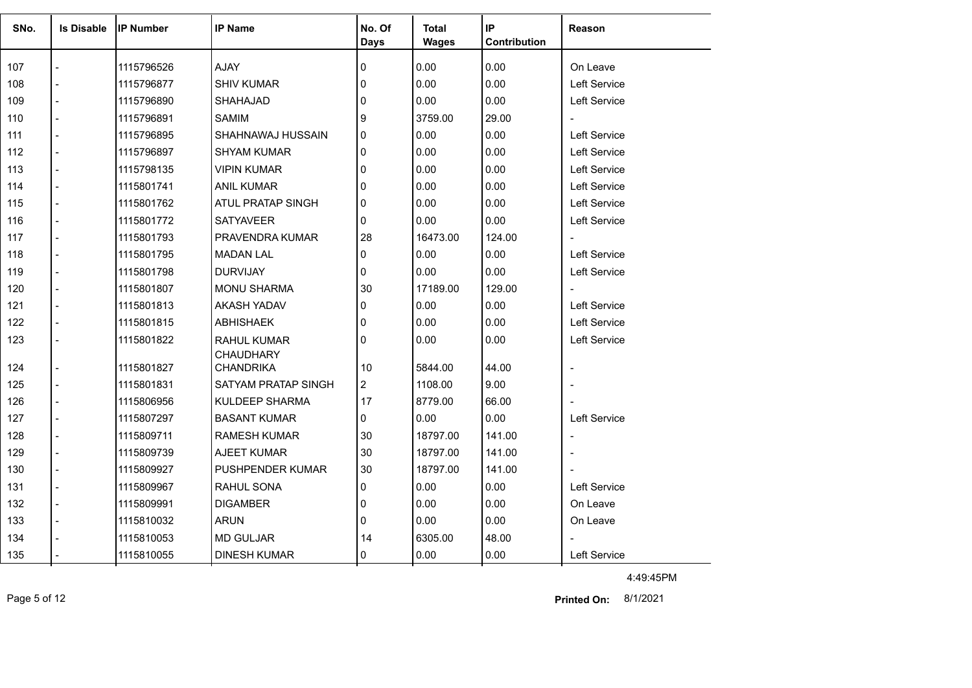| SNo. | <b>Is Disable</b> | <b>IP Number</b> | <b>IP Name</b>          | No. Of       | <b>Total</b> | IP<br>Contribution | Reason                   |
|------|-------------------|------------------|-------------------------|--------------|--------------|--------------------|--------------------------|
|      |                   |                  |                         | <b>Days</b>  | <b>Wages</b> |                    |                          |
| 107  |                   | 1115796526       | AJAY                    | 0            | 0.00         | 0.00               | On Leave                 |
| 108  |                   | 1115796877       | <b>SHIV KUMAR</b>       | $\mathbf 0$  | 0.00         | 0.00               | Left Service             |
| 109  |                   | 1115796890       | <b>SHAHAJAD</b>         | 0            | 0.00         | 0.00               | <b>Left Service</b>      |
| 110  |                   | 1115796891       | <b>SAMIM</b>            | 9            | 3759.00      | 29.00              | $\blacksquare$           |
| 111  | $\overline{a}$    | 1115796895       | SHAHNAWAJ HUSSAIN       | 0            | 0.00         | 0.00               | <b>Left Service</b>      |
| 112  | $\overline{a}$    | 1115796897       | <b>SHYAM KUMAR</b>      | $\mathbf{0}$ | 0.00         | 0.00               | Left Service             |
| 113  |                   | 1115798135       | <b>VIPIN KUMAR</b>      | $\mathbf 0$  | 0.00         | 0.00               | Left Service             |
| 114  | $\overline{a}$    | 1115801741       | <b>ANIL KUMAR</b>       | $\mathbf 0$  | 0.00         | 0.00               | Left Service             |
| 115  | $\overline{a}$    | 1115801762       | ATUL PRATAP SINGH       | $\Omega$     | 0.00         | 0.00               | <b>Left Service</b>      |
| 116  |                   | 1115801772       | <b>SATYAVEER</b>        | $\Omega$     | 0.00         | 0.00               | <b>Left Service</b>      |
| 117  |                   | 1115801793       | PRAVENDRA KUMAR         | 28           | 16473.00     | 124.00             |                          |
| 118  |                   | 1115801795       | <b>MADAN LAL</b>        | 0            | 0.00         | 0.00               | <b>Left Service</b>      |
| 119  | $\overline{a}$    | 1115801798       | <b>DURVIJAY</b>         | $\mathbf{0}$ | 0.00         | 0.00               | Left Service             |
| 120  |                   | 1115801807       | <b>MONU SHARMA</b>      | 30           | 17189.00     | 129.00             |                          |
| 121  |                   | 1115801813       | AKASH YADAV             | $\mathbf{0}$ | 0.00         | 0.00               | Left Service             |
| 122  | $\overline{a}$    | 1115801815       | <b>ABHISHAEK</b>        | $\Omega$     | 0.00         | 0.00               | Left Service             |
| 123  |                   | 1115801822       | <b>RAHUL KUMAR</b>      | $\mathbf 0$  | 0.00         | 0.00               | <b>Left Service</b>      |
|      |                   |                  | <b>CHAUDHARY</b>        |              |              |                    |                          |
| 124  | $\blacksquare$    | 1115801827       | CHANDRIKA               | 10           | 5844.00      | 44.00              | $\overline{\phantom{a}}$ |
| 125  |                   | 1115801831       | SATYAM PRATAP SINGH     | $ 2\rangle$  | 1108.00      | 9.00               |                          |
| 126  |                   | 1115806956       | <b>KULDEEP SHARMA</b>   | 17           | 8779.00      | 66.00              |                          |
| 127  | $\blacksquare$    | 1115807297       | <b>BASANT KUMAR</b>     | $\mathbf{0}$ | 0.00         | 0.00               | Left Service             |
| 128  |                   | 1115809711       | <b>RAMESH KUMAR</b>     | 30           | 18797.00     | 141.00             | $\overline{\phantom{a}}$ |
| 129  |                   | 1115809739       | AJEET KUMAR             | 30           | 18797.00     | 141.00             | $\blacksquare$           |
| 130  |                   | 1115809927       | <b>PUSHPENDER KUMAR</b> | 30           | 18797.00     | 141.00             | $\blacksquare$           |
| 131  | $\overline{a}$    | 1115809967       | RAHUL SONA              | 0            | 0.00         | 0.00               | <b>Left Service</b>      |
| 132  |                   | 1115809991       | <b>DIGAMBER</b>         | $\Omega$     | 0.00         | 0.00               | On Leave                 |
| 133  |                   | 1115810032       | <b>ARUN</b>             | 0            | 0.00         | 0.00               | On Leave                 |
| 134  |                   | 1115810053       | <b>MD GULJAR</b>        | 14           | 6305.00      | 48.00              |                          |
| 135  |                   | 1115810055       | <b>DINESH KUMAR</b>     | 0            | 0.00         | 0.00               | Left Service             |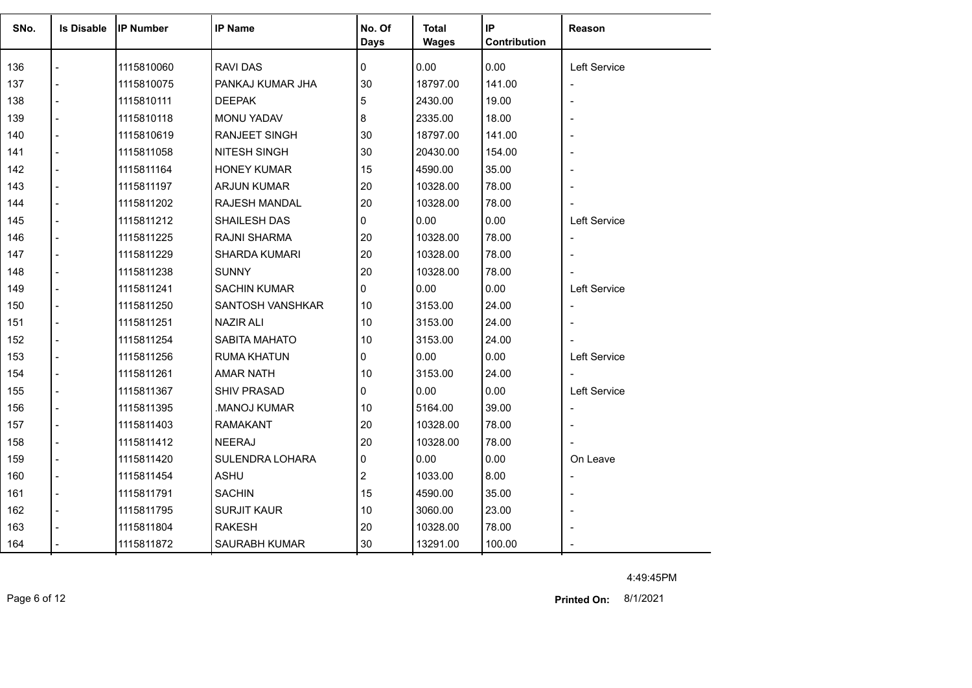| SNo. | <b>Is Disable</b> | <b>IP Number</b> | <b>IP Name</b>      | No. Of<br><b>Days</b> | <b>Total</b><br><b>Wages</b> | IP<br>Contribution | Reason                   |
|------|-------------------|------------------|---------------------|-----------------------|------------------------------|--------------------|--------------------------|
| 136  |                   | 1115810060       | <b>RAVI DAS</b>     | 0                     | 0.00                         | 0.00               | Left Service             |
| 137  |                   | 1115810075       | PANKAJ KUMAR JHA    | 30                    | 18797.00                     | 141.00             | $\overline{\phantom{a}}$ |
| 138  |                   | 1115810111       | <b>DEEPAK</b>       | 5                     | 2430.00                      | 19.00              | $\blacksquare$           |
| 139  |                   | 1115810118       | MONU YADAV          | 8                     | 2335.00                      | 18.00              |                          |
| 140  |                   | 1115810619       | RANJEET SINGH       | 30                    | 18797.00                     | 141.00             |                          |
| 141  |                   | 1115811058       | <b>NITESH SINGH</b> | 30                    | 20430.00                     | 154.00             | $\overline{\phantom{a}}$ |
| 142  |                   | 1115811164       | <b>HONEY KUMAR</b>  | 15                    | 4590.00                      | 35.00              |                          |
| 143  | $\overline{a}$    | 1115811197       | <b>ARJUN KUMAR</b>  | 20                    | 10328.00                     | 78.00              |                          |
| 144  | $\overline{a}$    | 1115811202       | RAJESH MANDAL       | 20                    | 10328.00                     | 78.00              |                          |
| 145  |                   | 1115811212       | SHAILESH DAS        | 0                     | 0.00                         | 0.00               | Left Service             |
| 146  |                   | 1115811225       | RAJNI SHARMA        | 20                    | 10328.00                     | 78.00              | $\overline{\phantom{a}}$ |
| 147  |                   | 1115811229       | SHARDA KUMARI       | 20                    | 10328.00                     | 78.00              |                          |
| 148  |                   | 1115811238       | <b>SUNNY</b>        | 20                    | 10328.00                     | 78.00              |                          |
| 149  |                   | 1115811241       | SACHIN KUMAR        | 0                     | 0.00                         | 0.00               | Left Service             |
| 150  |                   | 1115811250       | SANTOSH VANSHKAR    | 10                    | 3153.00                      | 24.00              | $\blacksquare$           |
| 151  |                   | 1115811251       | <b>NAZIR ALI</b>    | 10                    | 3153.00                      | 24.00              | $\blacksquare$           |
| 152  |                   | 1115811254       | SABITA MAHATO       | 10                    | 3153.00                      | 24.00              |                          |
| 153  | $\overline{a}$    | 1115811256       | <b>RUMA KHATUN</b>  | 0                     | 0.00                         | 0.00               | Left Service             |
| 154  |                   | 1115811261       | <b>AMAR NATH</b>    | 10                    | 3153.00                      | 24.00              |                          |
| 155  |                   | 1115811367       | <b>SHIV PRASAD</b>  | 0                     | 0.00                         | 0.00               | Left Service             |
| 156  |                   | 1115811395       | MANOJ KUMAR         | 10                    | 5164.00                      | 39.00              | $\overline{\phantom{a}}$ |
| 157  |                   | 1115811403       | <b>RAMAKANT</b>     | 20                    | 10328.00                     | 78.00              |                          |
| 158  |                   | 1115811412       | <b>NEERAJ</b>       | 20                    | 10328.00                     | 78.00              |                          |
| 159  |                   | 1115811420       | SULENDRA LOHARA     | 0                     | 0.00                         | 0.00               | On Leave                 |
| 160  | $\overline{a}$    | 1115811454       | <b>ASHU</b>         | 2                     | 1033.00                      | 8.00               | $\blacksquare$           |
| 161  | $\blacksquare$    | 1115811791       | <b>SACHIN</b>       | 15                    | 4590.00                      | 35.00              |                          |
| 162  |                   | 1115811795       | <b>SURJIT KAUR</b>  | 10                    | 3060.00                      | 23.00              |                          |
| 163  |                   | 1115811804       | <b>RAKESH</b>       | 20                    | 10328.00                     | 78.00              |                          |
| 164  |                   | 1115811872       | SAURABH KUMAR       | 30                    | 13291.00                     | 100.00             |                          |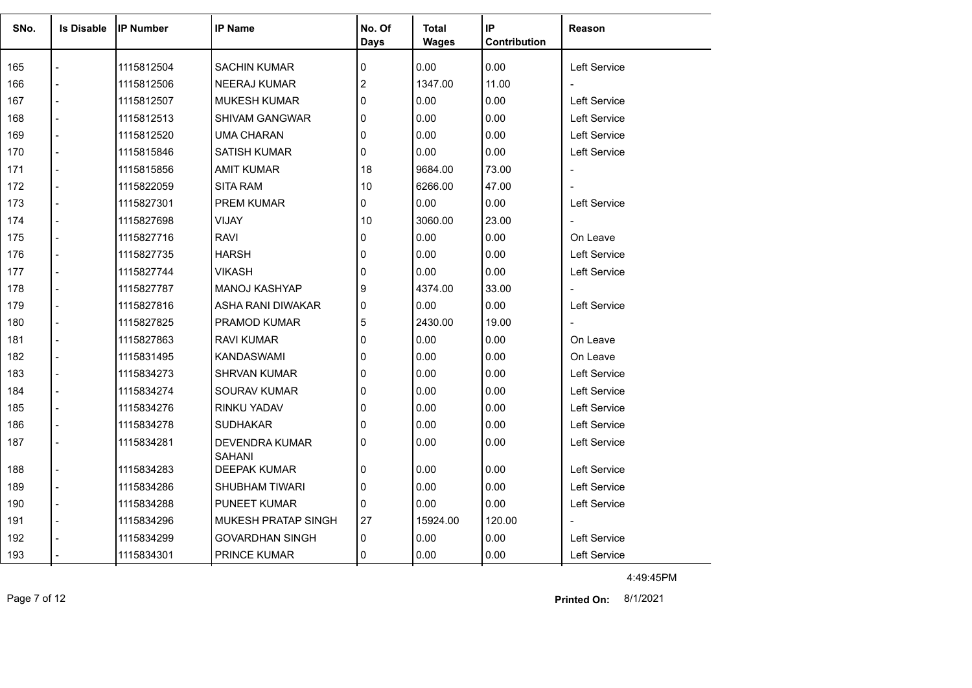| SNo. | <b>Is Disable</b> | <b>IP Number</b> | <b>IP Name</b>                         | No. Of<br><b>Days</b> | <b>Total</b><br><b>Wages</b> | IP<br>Contribution | <b>Reason</b>            |
|------|-------------------|------------------|----------------------------------------|-----------------------|------------------------------|--------------------|--------------------------|
| 165  |                   | 1115812504       | <b>SACHIN KUMAR</b>                    | 0                     | 0.00                         | 0.00               | <b>Left Service</b>      |
| 166  |                   |                  |                                        | $\overline{2}$        | 1347.00                      | 11.00              |                          |
|      | $\overline{a}$    | 1115812506       | <b>NEERAJ KUMAR</b>                    |                       | 0.00                         |                    |                          |
| 167  |                   | 1115812507       | <b>MUKESH KUMAR</b>                    | $\mathbf{0}$          |                              | 0.00               | Left Service             |
| 168  |                   | 1115812513       | <b>SHIVAM GANGWAR</b>                  | $\Omega$              | 0.00                         | 0.00               | <b>Left Service</b>      |
| 169  |                   | 1115812520       | UMA CHARAN                             | $\mathbf{0}$          | 0.00                         | 0.00               | <b>Left Service</b>      |
| 170  |                   | 1115815846       | <b>SATISH KUMAR</b>                    | 0                     | 0.00                         | 0.00               | Left Service             |
| 171  |                   | 1115815856       | <b>AMIT KUMAR</b>                      | 18                    | 9684.00                      | 73.00              | $\overline{\phantom{a}}$ |
| 172  |                   | 1115822059       | <b>SITA RAM</b>                        | 10                    | 6266.00                      | 47.00              |                          |
| 173  |                   | 1115827301       | <b>PREM KUMAR</b>                      | 0                     | 0.00                         | 0.00               | <b>Left Service</b>      |
| 174  | $\overline{a}$    | 1115827698       | <b>VIJAY</b>                           | 10                    | 3060.00                      | 23.00              | $\blacksquare$           |
| 175  | $\overline{a}$    | 1115827716       | <b>RAVI</b>                            | 0                     | 0.00                         | 0.00               | On Leave                 |
| 176  |                   | 1115827735       | <b>HARSH</b>                           | $\mathbf{0}$          | 0.00                         | 0.00               | <b>Left Service</b>      |
| 177  |                   | 1115827744       | <b>VIKASH</b>                          | $\mathbf{0}$          | 0.00                         | 0.00               | Left Service             |
| 178  |                   | 1115827787       | MANOJ KASHYAP                          | 9                     | 4374.00                      | 33.00              |                          |
| 179  |                   | 1115827816       | ASHA RANI DIWAKAR                      | 0                     | 0.00                         | 0.00               | Left Service             |
| 180  |                   | 1115827825       | <b>PRAMOD KUMAR</b>                    | 5                     | 2430.00                      | 19.00              |                          |
| 181  | $\overline{a}$    | 1115827863       | RAVI KUMAR                             | $\mathbf{0}$          | 0.00                         | 0.00               | On Leave                 |
| 182  | $\overline{a}$    | 1115831495       | KANDASWAMI                             | 0                     | 0.00                         | 0.00               | On Leave                 |
| 183  |                   | 1115834273       | <b>SHRVAN KUMAR</b>                    | $\mathbf{0}$          | 0.00                         | 0.00               | Left Service             |
| 184  |                   | 1115834274       | <b>SOURAV KUMAR</b>                    | $\mathbf{0}$          | 0.00                         | 0.00               | <b>Left Service</b>      |
| 185  |                   | 1115834276       | <b>RINKU YADAV</b>                     | $\Omega$              | 0.00                         | 0.00               | <b>Left Service</b>      |
| 186  |                   | 1115834278       | <b>SUDHAKAR</b>                        | 0                     | 0.00                         | 0.00               | <b>Left Service</b>      |
| 187  |                   | 1115834281       | <b>DEVENDRA KUMAR</b><br><b>SAHANI</b> | $\mathbf{0}$          | 0.00                         | 0.00               | Left Service             |
| 188  |                   | 1115834283       | <b>DEEPAK KUMAR</b>                    | 0                     | 0.00                         | 0.00               | Left Service             |
| 189  |                   | 1115834286       | <b>SHUBHAM TIWARI</b>                  | $\mathbf{0}$          | 0.00                         | 0.00               | <b>Left Service</b>      |
| 190  | $\overline{a}$    | 1115834288       | <b>PUNEET KUMAR</b>                    | $\mathbf{0}$          | 0.00                         | 0.00               | <b>Left Service</b>      |
| 191  | $\overline{a}$    | 1115834296       | <b>MUKESH PRATAP SINGH</b>             | 27                    | 15924.00                     | 120.00             |                          |
| 192  |                   | 1115834299       | <b>GOVARDHAN SINGH</b>                 | 0                     | 0.00                         | 0.00               | <b>Left Service</b>      |
| 193  |                   | 1115834301       | PRINCE KUMAR                           | $\mathbf{0}$          | 0.00                         | 0.00               | Left Service             |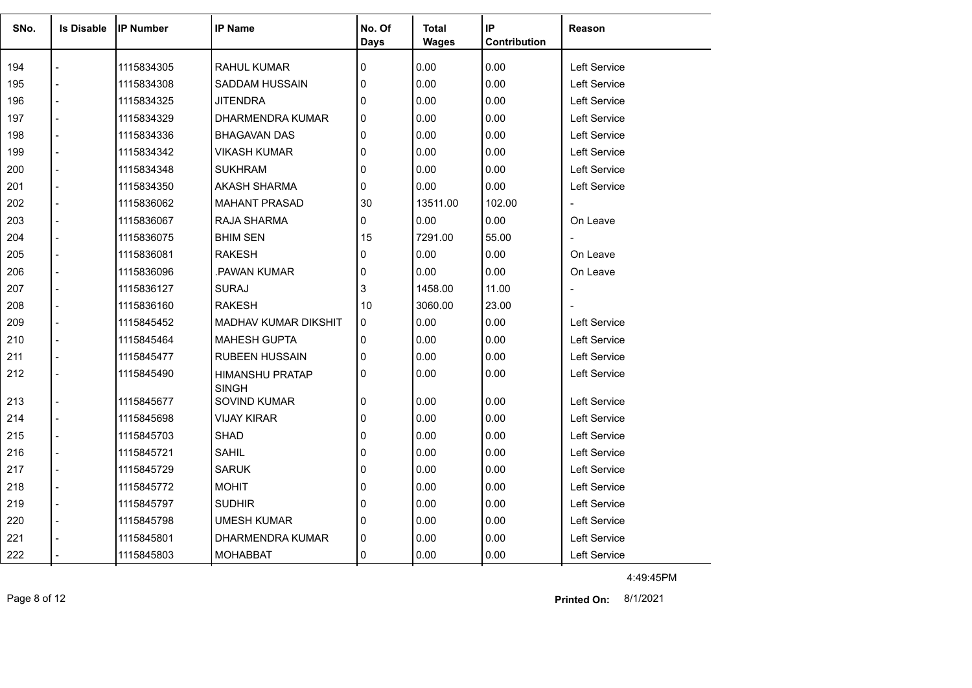| SNo. | <b>Is Disable</b> | <b>IP Number</b> | <b>IP Name</b>                         | No. Of<br><b>Days</b> | Total<br><b>Wages</b> | IP<br>Contribution | <b>Reason</b>       |
|------|-------------------|------------------|----------------------------------------|-----------------------|-----------------------|--------------------|---------------------|
| 194  |                   | 1115834305       | <b>RAHUL KUMAR</b>                     | $\mathbf 0$           | 0.00                  | 0.00               | Left Service        |
| 195  |                   | 1115834308       | SADDAM HUSSAIN                         | $\mathbf{0}$          | 0.00                  | 0.00               | <b>Left Service</b> |
| 196  |                   | 1115834325       | <b>JITENDRA</b>                        | $\mathbf{0}$          | 0.00                  | 0.00               | <b>Left Service</b> |
| 197  |                   | 1115834329       | DHARMENDRA KUMAR                       | $\mathbf{0}$          | 0.00                  | 0.00               | <b>Left Service</b> |
| 198  |                   | 1115834336       | <b>BHAGAVAN DAS</b>                    | $\mathbf 0$           | 0.00                  | 0.00               | Left Service        |
| 199  |                   |                  | <b>VIKASH KUMAR</b>                    | $\mathbf{0}$          | 0.00                  | 0.00               |                     |
|      |                   | 1115834342       |                                        |                       | 0.00                  |                    | <b>Left Service</b> |
| 200  |                   | 1115834348       | <b>SUKHRAM</b>                         | 0                     |                       | 0.00               | Left Service        |
| 201  |                   | 1115834350       | AKASH SHARMA                           | 0                     | 0.00                  | 0.00               | <b>Left Service</b> |
| 202  |                   | 1115836062       | <b>MAHANT PRASAD</b>                   | 30                    | 13511.00              | 102.00             |                     |
| 203  |                   | 1115836067       | RAJA SHARMA                            | 0                     | 0.00                  | 0.00               | On Leave            |
| 204  |                   | 1115836075       | <b>BHIM SEN</b>                        | 15                    | 7291.00               | 55.00              | $\blacksquare$      |
| 205  |                   | 1115836081       | <b>RAKESH</b>                          | 0                     | 0.00                  | 0.00               | On Leave            |
| 206  | $\overline{a}$    | 1115836096       | PAWAN KUMAR                            | 0                     | 0.00                  | 0.00               | On Leave            |
| 207  |                   | 1115836127       | <b>SURAJ</b>                           | 3                     | 1458.00               | 11.00              | $\blacksquare$      |
| 208  |                   | 1115836160       | <b>RAKESH</b>                          | 10                    | 3060.00               | 23.00              |                     |
| 209  |                   | 1115845452       | <b>MADHAV KUMAR DIKSHIT</b>            | $\mathbf{0}$          | 0.00                  | 0.00               | <b>Left Service</b> |
| 210  |                   | 1115845464       | <b>MAHESH GUPTA</b>                    | $\mathbf{0}$          | 0.00                  | 0.00               | <b>Left Service</b> |
| 211  | $\overline{a}$    | 1115845477       | RUBEEN HUSSAIN                         | $\mathbf{0}$          | 0.00                  | 0.00               | Left Service        |
| 212  |                   | 1115845490       | <b>HIMANSHU PRATAP</b><br><b>SINGH</b> | 0                     | 0.00                  | 0.00               | Left Service        |
| 213  | $\overline{a}$    | 1115845677       | SOVIND KUMAR                           | 0                     | 0.00                  | 0.00               | <b>Left Service</b> |
| 214  |                   | 1115845698       | <b>VIJAY KIRAR</b>                     | $\mathbf{0}$          | 0.00                  | 0.00               | Left Service        |
| 215  |                   | 1115845703       | <b>SHAD</b>                            | 0                     | 0.00                  | 0.00               | Left Service        |
| 216  |                   | 1115845721       | <b>SAHIL</b>                           | 0                     | 0.00                  | 0.00               | Left Service        |
| 217  |                   | 1115845729       | <b>SARUK</b>                           | 0                     | 0.00                  | 0.00               | <b>Left Service</b> |
| 218  |                   | 1115845772       | <b>MOHIT</b>                           | 0                     | 0.00                  | 0.00               | Left Service        |
| 219  |                   | 1115845797       | <b>SUDHIR</b>                          | $\mathbf{0}$          | 0.00                  | 0.00               | Left Service        |
| 220  |                   | 1115845798       | <b>UMESH KUMAR</b>                     | $\mathbf{0}$          | 0.00                  | 0.00               | Left Service        |
| 221  |                   | 1115845801       | DHARMENDRA KUMAR                       | 0                     | 0.00                  | 0.00               | <b>Left Service</b> |
| 222  |                   | 1115845803       | <b>MOHABBAT</b>                        | 0                     | 0.00                  | 0.00               | Left Service        |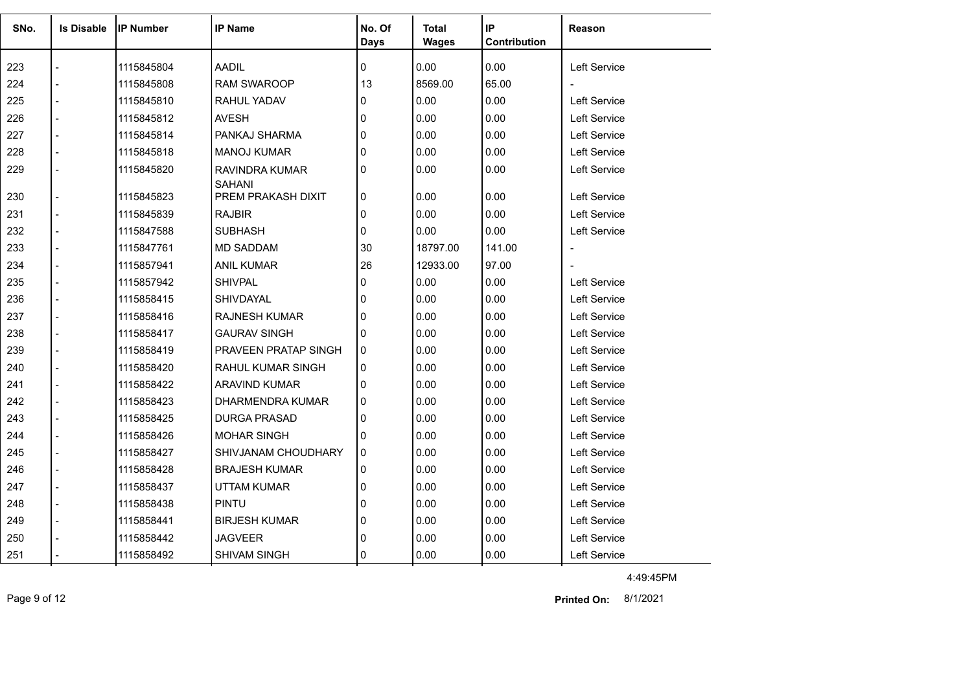| SNo. | <b>Is Disable</b> | <b>IP Number</b> | <b>IP Name</b>                  | No. Of<br><b>Days</b> | <b>Total</b><br><b>Wages</b> | IP<br>Contribution | Reason              |
|------|-------------------|------------------|---------------------------------|-----------------------|------------------------------|--------------------|---------------------|
| 223  |                   | 1115845804       | <b>AADIL</b>                    | 0                     | 0.00                         | 0.00               | <b>Left Service</b> |
| 224  |                   | 1115845808       | <b>RAM SWAROOP</b>              | 13                    | 8569.00                      | 65.00              |                     |
| 225  |                   | 1115845810       | RAHUL YADAV                     | 0                     | 0.00                         | 0.00               | <b>Left Service</b> |
| 226  |                   | 1115845812       | <b>AVESH</b>                    | 0                     | 0.00                         | 0.00               | <b>Left Service</b> |
| 227  |                   | 1115845814       | PANKAJ SHARMA                   | 0                     | 0.00                         | 0.00               | <b>Left Service</b> |
| 228  |                   | 1115845818       | <b>MANOJ KUMAR</b>              | 0                     | 0.00                         | 0.00               | Left Service        |
| 229  |                   | 1115845820       | RAVINDRA KUMAR<br><b>SAHANI</b> | 0                     | 0.00                         | 0.00               | Left Service        |
| 230  |                   | 1115845823       | PREM PRAKASH DIXIT              | 0                     | 0.00                         | 0.00               | Left Service        |
| 231  |                   | 1115845839       | <b>RAJBIR</b>                   | 0                     | 0.00                         | 0.00               | Left Service        |
| 232  |                   | 1115847588       | <b>SUBHASH</b>                  | 0                     | 0.00                         | 0.00               | Left Service        |
| 233  |                   | 1115847761       | <b>MD SADDAM</b>                | 30                    | 18797.00                     | 141.00             | $\blacksquare$      |
| 234  |                   | 1115857941       | <b>ANIL KUMAR</b>               | 26                    | 12933.00                     | 97.00              | $\overline{a}$      |
| 235  |                   | 1115857942       | <b>SHIVPAL</b>                  | 0                     | 0.00                         | 0.00               | <b>Left Service</b> |
| 236  |                   | 1115858415       | <b>SHIVDAYAL</b>                | 0                     | 0.00                         | 0.00               | <b>Left Service</b> |
| 237  |                   | 1115858416       | <b>RAJNESH KUMAR</b>            | 0                     | 0.00                         | 0.00               | <b>Left Service</b> |
| 238  |                   | 1115858417       | <b>GAURAV SINGH</b>             | 0                     | 0.00                         | 0.00               | <b>Left Service</b> |
| 239  |                   | 1115858419       | <b>PRAVEEN PRATAP SINGH</b>     | 0                     | 0.00                         | 0.00               | <b>Left Service</b> |
| 240  |                   | 1115858420       | <b>RAHUL KUMAR SINGH</b>        | 0                     | 0.00                         | 0.00               | Left Service        |
| 241  |                   | 1115858422       | <b>ARAVIND KUMAR</b>            | 0                     | 0.00                         | 0.00               | Left Service        |
| 242  |                   | 1115858423       | DHARMENDRA KUMAR                | $\Omega$              | 0.00                         | 0.00               | Left Service        |
| 243  |                   | 1115858425       | <b>DURGA PRASAD</b>             | 0                     | 0.00                         | 0.00               | <b>Left Service</b> |
| 244  |                   | 1115858426       | <b>MOHAR SINGH</b>              | 0                     | 0.00                         | 0.00               | <b>Left Service</b> |
| 245  |                   | 1115858427       | SHIVJANAM CHOUDHARY             | 0                     | 0.00                         | 0.00               | <b>Left Service</b> |
| 246  |                   | 1115858428       | <b>BRAJESH KUMAR</b>            | 0                     | 0.00                         | 0.00               | Left Service        |
| 247  |                   | 1115858437       | <b>UTTAM KUMAR</b>              | 0                     | 0.00                         | 0.00               | <b>Left Service</b> |
| 248  |                   | 1115858438       | <b>PINTU</b>                    | 0                     | 0.00                         | 0.00               | <b>Left Service</b> |
| 249  |                   | 1115858441       | <b>BIRJESH KUMAR</b>            | 0                     | 0.00                         | 0.00               | <b>Left Service</b> |
| 250  |                   | 1115858442       | <b>JAGVEER</b>                  | 0                     | 0.00                         | 0.00               | <b>Left Service</b> |
| 251  |                   | 1115858492       | SHIVAM SINGH                    | 0                     | 0.00                         | 0.00               | Left Service        |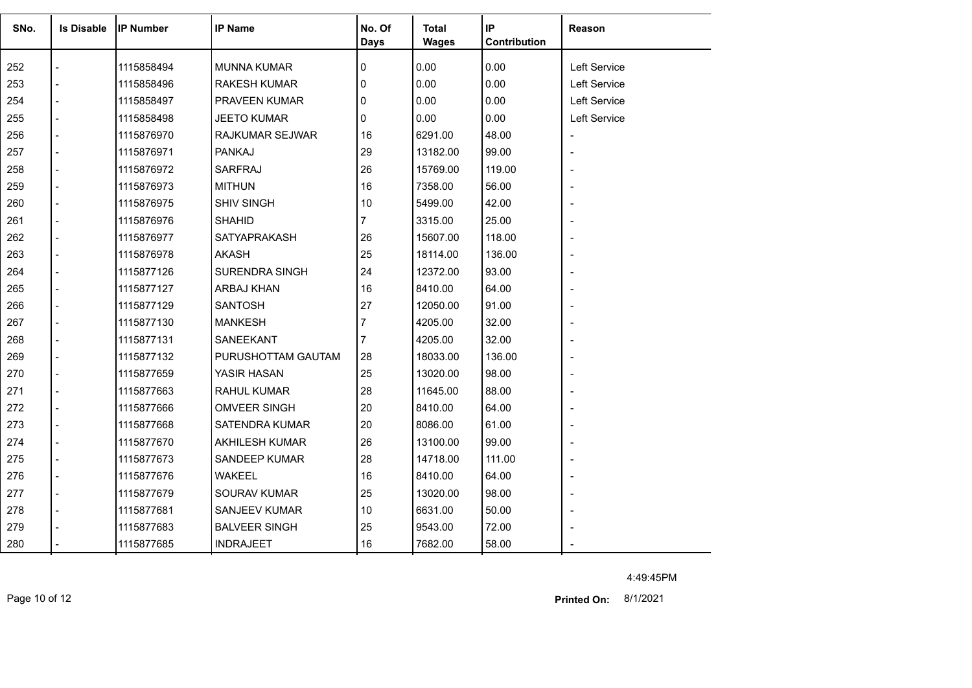| SNo. | <b>Is Disable</b> | <b>IP Number</b> | <b>IP Name</b>        | No. Of<br><b>Days</b> | <b>Total</b><br><b>Wages</b> | IP<br>Contribution | Reason                   |
|------|-------------------|------------------|-----------------------|-----------------------|------------------------------|--------------------|--------------------------|
|      |                   |                  |                       |                       |                              |                    |                          |
| 252  |                   | 1115858494       | <b>MUNNA KUMAR</b>    | 0                     | 0.00                         | 0.00               | Left Service             |
| 253  |                   | 1115858496       | <b>RAKESH KUMAR</b>   | $\mathbf{0}$          | 0.00                         | 0.00               | Left Service             |
| 254  |                   | 1115858497       | PRAVEEN KUMAR         | 0                     | 0.00                         | 0.00               | Left Service             |
| 255  |                   | 1115858498       | <b>JEETO KUMAR</b>    | $\mathbf{0}$          | 0.00                         | 0.00               | Left Service             |
| 256  |                   | 1115876970       | RAJKUMAR SEJWAR       | 16                    | 6291.00                      | 48.00              |                          |
| 257  |                   | 1115876971       | <b>PANKAJ</b>         | 29                    | 13182.00                     | 99.00              |                          |
| 258  |                   | 1115876972       | SARFRAJ               | 26                    | 15769.00                     | 119.00             |                          |
| 259  |                   | 1115876973       | <b>MITHUN</b>         | 16                    | 7358.00                      | 56.00              |                          |
| 260  |                   | 1115876975       | <b>SHIV SINGH</b>     | 10                    | 5499.00                      | 42.00              |                          |
| 261  |                   | 1115876976       | <b>SHAHID</b>         | $\overline{7}$        | 3315.00                      | 25.00              | $\overline{\phantom{a}}$ |
| 262  |                   | 1115876977       | <b>SATYAPRAKASH</b>   | 26                    | 15607.00                     | 118.00             |                          |
| 263  |                   | 1115876978       | <b>AKASH</b>          | 25                    | 18114.00                     | 136.00             |                          |
| 264  |                   | 1115877126       | <b>SURENDRA SINGH</b> | 24                    | 12372.00                     | 93.00              | $\overline{a}$           |
| 265  |                   | 1115877127       | ARBAJ KHAN            | 16                    | 8410.00                      | 64.00              |                          |
| 266  |                   | 1115877129       | <b>SANTOSH</b>        | 27                    | 12050.00                     | 91.00              |                          |
| 267  |                   | 1115877130       | <b>MANKESH</b>        | $\overline{7}$        | 4205.00                      | 32.00              |                          |
| 268  |                   | 1115877131       | SANEEKANT             | 7                     | 4205.00                      | 32.00              |                          |
| 269  |                   | 1115877132       | PURUSHOTTAM GAUTAM    | 28                    | 18033.00                     | 136.00             |                          |
| 270  |                   | 1115877659       | YASIR HASAN           | 25                    | 13020.00                     | 98.00              |                          |
| 271  | $\overline{a}$    | 1115877663       | <b>RAHUL KUMAR</b>    | 28                    | 11645.00                     | 88.00              | $\overline{\phantom{a}}$ |
| 272  |                   | 1115877666       | <b>OMVEER SINGH</b>   | 20                    | 8410.00                      | 64.00              |                          |
| 273  |                   | 1115877668       | <b>SATENDRA KUMAR</b> | 20                    | 8086.00                      | 61.00              |                          |
| 274  |                   | 1115877670       | <b>AKHILESH KUMAR</b> | 26                    | 13100.00                     | 99.00              |                          |
| 275  |                   | 1115877673       | SANDEEP KUMAR         | 28                    | 14718.00                     | 111.00             | $\overline{\phantom{a}}$ |
| 276  | $\overline{a}$    | 1115877676       | <b>WAKEEL</b>         | 16                    | 8410.00                      | 64.00              |                          |
| 277  |                   | 1115877679       | SOURAV KUMAR          | 25                    | 13020.00                     | 98.00              |                          |
| 278  |                   | 1115877681       | SANJEEV KUMAR         | 10                    | 6631.00                      | 50.00              |                          |
| 279  |                   | 1115877683       | <b>BALVEER SINGH</b>  | 25                    | 9543.00                      | 72.00              |                          |
| 280  |                   | 1115877685       | <b>INDRAJEET</b>      | 16                    | 7682.00                      | 58.00              |                          |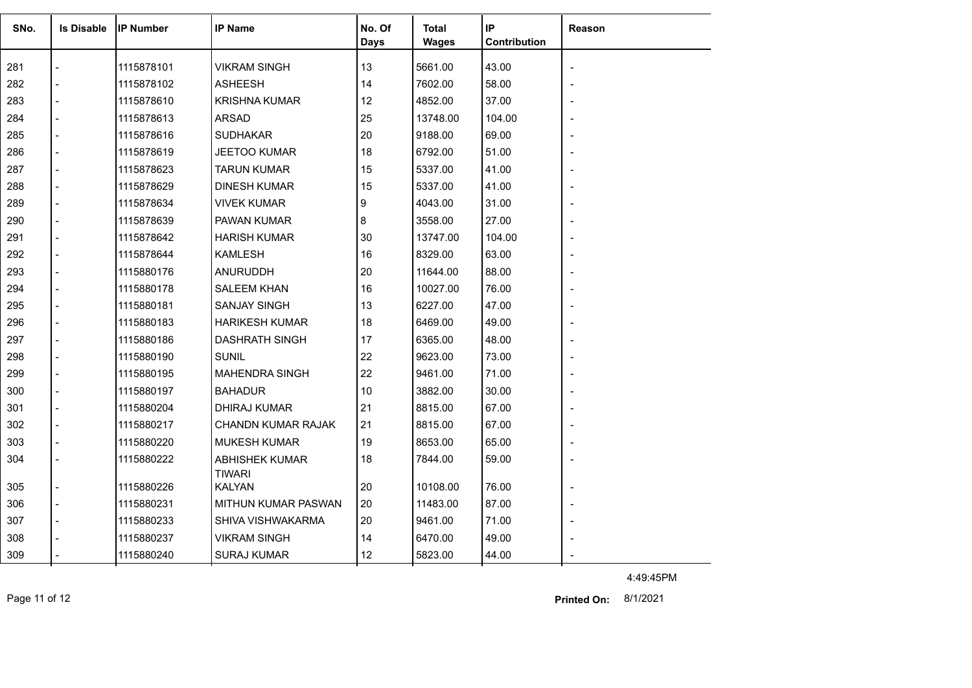| SNo. | <b>Is Disable</b> | <b>IP Number</b> | <b>IP Name</b>                         | No. Of      | Total        | IP           | Reason                   |
|------|-------------------|------------------|----------------------------------------|-------------|--------------|--------------|--------------------------|
|      |                   |                  |                                        | <b>Days</b> | <b>Wages</b> | Contribution |                          |
| 281  |                   | 1115878101       | <b>VIKRAM SINGH</b>                    | 13          | 5661.00      | 43.00        | $\blacksquare$           |
| 282  |                   | 1115878102       | <b>ASHEESH</b>                         | 14          | 7602.00      | 58.00        |                          |
| 283  |                   | 1115878610       | <b>KRISHNA KUMAR</b>                   | 12          | 4852.00      | 37.00        |                          |
| 284  |                   | 1115878613       | <b>ARSAD</b>                           | 25          | 13748.00     | 104.00       |                          |
| 285  |                   | 1115878616       | <b>SUDHAKAR</b>                        | 20          | 9188.00      | 69.00        |                          |
| 286  |                   | 1115878619       | JEETOO KUMAR                           | 18          | 6792.00      | 51.00        |                          |
| 287  |                   | 1115878623       | <b>TARUN KUMAR</b>                     | 15          | 5337.00      | 41.00        | $\overline{\phantom{a}}$ |
| 288  |                   | 1115878629       | <b>DINESH KUMAR</b>                    | 15          | 5337.00      | 41.00        | $\overline{\phantom{a}}$ |
| 289  |                   | 1115878634       | <b>VIVEK KUMAR</b>                     | 9           | 4043.00      | 31.00        |                          |
| 290  |                   | 1115878639       | PAWAN KUMAR                            | 8           | 3558.00      | 27.00        | $\overline{\phantom{a}}$ |
| 291  |                   | 1115878642       | <b>HARISH KUMAR</b>                    | 30          | 13747.00     | 104.00       |                          |
| 292  |                   | 1115878644       | <b>KAMLESH</b>                         | 16          | 8329.00      | 63.00        |                          |
| 293  |                   | 1115880176       | <b>ANURUDDH</b>                        | 20          | 11644.00     | 88.00        |                          |
| 294  |                   | 1115880178       | <b>SALEEM KHAN</b>                     | 16          | 10027.00     | 76.00        |                          |
| 295  |                   | 1115880181       | <b>SANJAY SINGH</b>                    | 13          | 6227.00      | 47.00        | $\blacksquare$           |
| 296  |                   | 1115880183       | <b>HARIKESH KUMAR</b>                  | 18          | 6469.00      | 49.00        |                          |
| 297  |                   | 1115880186       | <b>DASHRATH SINGH</b>                  | 17          | 6365.00      | 48.00        |                          |
| 298  |                   | 1115880190       | <b>SUNIL</b>                           | 22          | 9623.00      | 73.00        |                          |
| 299  |                   | 1115880195       | <b>MAHENDRA SINGH</b>                  | 22          | 9461.00      | 71.00        |                          |
| 300  |                   | 1115880197       | <b>BAHADUR</b>                         | 10          | 3882.00      | 30.00        |                          |
| 301  |                   | 1115880204       | DHIRAJ KUMAR                           | 21          | 8815.00      | 67.00        | $\blacksquare$           |
| 302  |                   | 1115880217       | CHANDN KUMAR RAJAK                     | 21          | 8815.00      | 67.00        | $\blacksquare$           |
| 303  |                   | 1115880220       | <b>MUKESH KUMAR</b>                    | 19          | 8653.00      | 65.00        | $\blacksquare$           |
| 304  |                   | 1115880222       | <b>ABHISHEK KUMAR</b><br><b>TIWARI</b> | 18          | 7844.00      | 59.00        | $\blacksquare$           |
| 305  |                   | 1115880226       | KALYAN                                 | 20          | 10108.00     | 76.00        | $\blacksquare$           |
| 306  | $\blacksquare$    | 1115880231       | <b>MITHUN KUMAR PASWAN</b>             | 20          | 11483.00     | 87.00        | $\blacksquare$           |
| 307  |                   | 1115880233       | SHIVA VISHWAKARMA                      | 20          | 9461.00      | 71.00        | $\overline{\phantom{a}}$ |
| 308  |                   | 1115880237       | <b>VIKRAM SINGH</b>                    | 14          | 6470.00      | 49.00        |                          |
| 309  |                   | 1115880240       | <b>SURAJ KUMAR</b>                     | 12          | 5823.00      | 44.00        |                          |